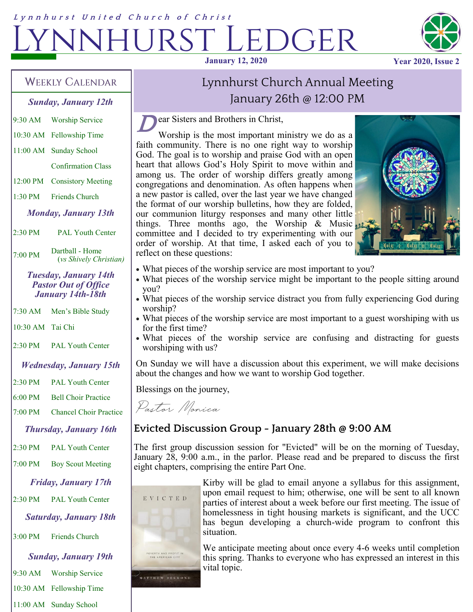# Lynnhurst United Church of Christ  $DGER$ **January 12, 2020 Year 2020, Issue 2**



### **WEEKLY CALENDAR**

*Sunday, January 12th*

- 9:30 AM Worship Service
- 10:30 AM Fellowship Time
- 11:00 AM Sunday School

Confirmation Class

12:00 PM Consistory Meeting

1:30 PM Friends Church

*Monday, January 13th*

2:30 PM PAL Youth Center

 $7:00 \text{ PM}$  Dartball - Home (*vs Shively Christian)*

> *Tuesday, January 14th Pastor Out of Office January 14th-18th*

7:30 AM Men's Bible Study

10:30 AM Tai Chi

2:30 PM PAL Youth Center

#### *Wednesday, January 15th*

2:30 PM PAL Youth Center 6:00 PM Bell Choir Practice 7:00 PM Chancel Choir Practice

*Thursday, January 16th*

2:30 PM PAL Youth Center

7:00 PM Boy Scout Meeting

*Friday, January 17th*

2:30 PM PAL Youth Center

*Saturday, January 18th*

3:00 PM Friends Church

*Sunday, January 19th* 9:30 AM Worship Service 10:30 AM Fellowship Time 11:00 AM Sunday School

# Lynnhurst Church Annual Meeting January 26th @ 12:00 PM

**D** ear Sisters and Brothers in Christ,

Worship is the most important ministry we do as a faith community. There is no one right way to worship God. The goal is to worship and praise God with an open heart that allows God's Holy Spirit to move within and among us. The order of worship differs greatly among congregations and denomination. As often happens when a new pastor is called, over the last year we have changed the format of our worship bulletins, how they are folded, our communion liturgy responses and many other little things. Three months ago, the Worship & Music committee and I decided to try experimenting with our order of worship. At that time, I asked each of you to reflect on these questions:



- What pieces of the worship service are most important to you?
- What pieces of the worship service might be important to the people sitting around you?
- What pieces of the worship service distract you from fully experiencing God during worship?
- What pieces of the worship service are most important to a guest worshiping with us for the first time?
- What pieces of the worship service are confusing and distracting for guests worshiping with us?

On Sunday we will have a discussion about this experiment, we will make decisions about the changes and how we want to worship God together.

Blessings on the journey,

Pastor Monica

## **Evicted Discussion Group - January 28th @ 9:00 AM**

The first group discussion session for "Evicted" will be on the morning of Tuesday, January 28, 9:00 a.m., in the parlor. Please read and be prepared to discuss the first eight chapters, comprising the entire Part One.



Kirby will be glad to email anyone a syllabus for this assignment, upon email request to him; otherwise, one will be sent to all known parties of interest about a week before our first meeting. The issue of homelessness in tight housing markets is significant, and the UCC has begun developing a church-wide program to confront this situation.

MATTHEW DESMOND

We anticipate meeting about once every 4-6 weeks until completion this spring. Thanks to everyone who has expressed an interest in this vital topic.